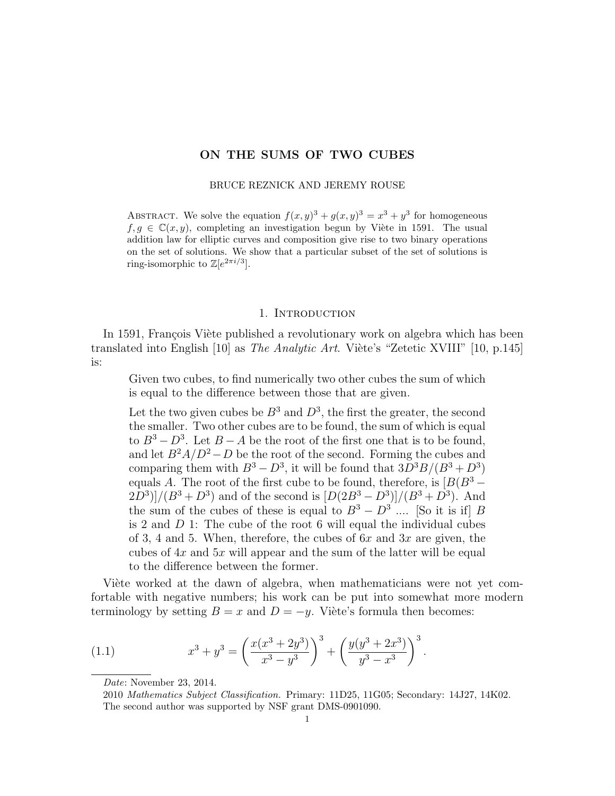## ON THE SUMS OF TWO CUBES

## BRUCE REZNICK AND JEREMY ROUSE

ABSTRACT. We solve the equation  $f(x, y)^3 + g(x, y)^3 = x^3 + y^3$  for homogeneous  $f, g \in \mathbb{C}(x, y)$ , completing an investigation begun by Viète in 1591. The usual addition law for elliptic curves and composition give rise to two binary operations on the set of solutions. We show that a particular subset of the set of solutions is ring-isomorphic to  $\mathbb{Z}[e^{2\pi i/3}]$ .

## 1. INTRODUCTION

In 1591, François Viète published a revolutionary work on algebra which has been translated into English  $[10]$  as The Analytic Art. Viète's "Zetetic XVIII"  $[10, p.145]$ is:

Given two cubes, to find numerically two other cubes the sum of which is equal to the difference between those that are given.

Let the two given cubes be  $B^3$  and  $D^3$ , the first the greater, the second the smaller. Two other cubes are to be found, the sum of which is equal to  $B^3 - D^3$ . Let  $B - A$  be the root of the first one that is to be found, and let  $B^2A/D^2 - D$  be the root of the second. Forming the cubes and comparing them with  $B^3 - D^3$ , it will be found that  $3D^3B/(B^3 + D^3)$ equals A. The root of the first cube to be found, therefore, is  $[B(B^3 (2D^3)/(B^3 + D^3)$  and of the second is  $[D(2B^3 - D^3)]/(B^3 + D^3)$ . And the sum of the cubes of these is equal to  $B^3 - D^3$  .... [So it is if] B is 2 and D 1: The cube of the root 6 will equal the individual cubes of 3, 4 and 5. When, therefore, the cubes of  $6x$  and  $3x$  are given, the cubes of  $4x$  and  $5x$  will appear and the sum of the latter will be equal to the difference between the former.

Viète worked at the dawn of algebra, when mathematicians were not yet comfortable with negative numbers; his work can be put into somewhat more modern terminology by setting  $B = x$  and  $D = -y$ . Viète's formula then becomes:

(1.1) 
$$
x^3 + y^3 = \left(\frac{x(x^3 + 2y^3)}{x^3 - y^3}\right)^3 + \left(\frac{y(y^3 + 2x^3)}{y^3 - x^3}\right)^3
$$

Date: November 23, 2014.

.

<sup>2010</sup> Mathematics Subject Classification. Primary: 11D25, 11G05; Secondary: 14J27, 14K02. The second author was supported by NSF grant DMS-0901090.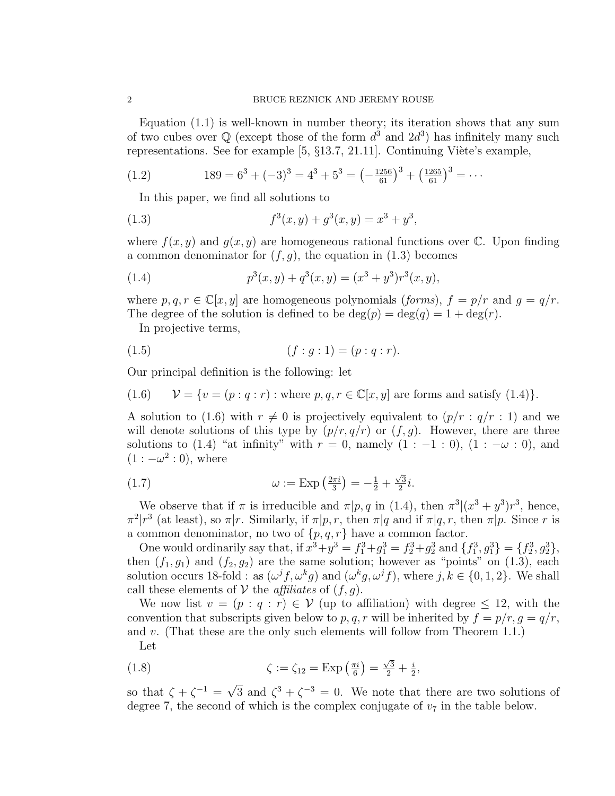### 2 BRUCE REZNICK AND JEREMY ROUSE

Equation (1.1) is well-known in number theory; its iteration shows that any sum of two cubes over  $\mathbb Q$  (except those of the form  $d^3$  and  $2d^3$ ) has infinitely many such representations. See for example  $[5, \{13.7, 21.11\}]$ . Continuing Viète's example,

(1.2) 
$$
189 = 6^3 + (-3)^3 = 4^3 + 5^3 = \left(-\frac{1256}{61}\right)^3 + \left(\frac{1265}{61}\right)^3 = \cdots
$$

In this paper, we find all solutions to

(1.3) 
$$
f^{3}(x, y) + g^{3}(x, y) = x^{3} + y^{3},
$$

where  $f(x, y)$  and  $g(x, y)$  are homogeneous rational functions over  $\mathbb{C}$ . Upon finding a common denominator for  $(f, g)$ , the equation in (1.3) becomes

(1.4) 
$$
p^{3}(x, y) + q^{3}(x, y) = (x^{3} + y^{3})r^{3}(x, y),
$$

where  $p, q, r \in \mathbb{C}[x, y]$  are homogeneous polynomials (*forms*),  $f = p/r$  and  $g = q/r$ . The degree of the solution is defined to be  $deg(p) = deg(q) = 1 + deg(r)$ .

In projective terms,

(1.5) 
$$
(f: g: 1) = (p: q: r).
$$

Our principal definition is the following: let

(1.6) 
$$
\mathcal{V} = \{v = (p : q : r) : \text{where } p, q, r \in \mathbb{C}[x, y] \text{ are forms and satisfy (1.4)}\}.
$$

A solution to (1.6) with  $r \neq 0$  is projectively equivalent to  $(p/r : q/r : 1)$  and we will denote solutions of this type by  $(p/r, q/r)$  or  $(f, g)$ . However, there are three solutions to (1.4) "at infinity" with  $r = 0$ , namely  $(1 : -1 : 0)$ ,  $(1 : -\omega : 0)$ , and  $(1:-\omega^2:0)$ , where

(1.7) 
$$
\omega := \text{Exp}\left(\frac{2\pi i}{3}\right) = -\frac{1}{2} + \frac{\sqrt{3}}{2}i.
$$

We observe that if  $\pi$  is irreducible and  $\pi | p, q$  in (1.4), then  $\pi^3 |(x^3 + y^3)r^3$ , hence,  $\pi^2 |r^3$  (at least), so  $\pi |r$ . Similarly, if  $\pi |p, r$ , then  $\pi |q$  and if  $\pi |q, r$ , then  $\pi |p$ . Since r is a common denominator, no two of  $\{p,q,r\}$  have a common factor.

One would ordinarily say that, if  $x^3 + y^3 = f_1^3 + g_1^3 = f_2^3 + g_2^3$  and  $\{f_1^3, g_1^3\} = \{f_2^3, g_2^3\}$ , then  $(f_1, g_1)$  and  $(f_2, g_2)$  are the same solution; however as "points" on  $(1.3)$ , each solution occurs 18-fold : as  $(\omega^j f, \omega^k g)$  and  $(\omega^k g, \omega^j f)$ , where  $j, k \in \{0, 1, 2\}$ . We shall call these elements of  $V$  the *affiliates* of  $(f, g)$ .

We now list  $v = (p : q : r) \in V$  (up to affiliation) with degree  $\leq 12$ , with the convention that subscripts given below to p, q, r will be inherited by  $f = p/r$ ,  $q = q/r$ , and v. (That these are the only such elements will follow from Theorem 1.1.)

Let

(1.8) 
$$
\zeta := \zeta_{12} = \text{Exp}\left(\frac{\pi i}{6}\right) = \frac{\sqrt{3}}{2} + \frac{i}{2},
$$

so that  $\zeta + \zeta^{-1} =$ √  $\overline{3}$  and  $\zeta^3 + \zeta^{-3} = 0$ . We note that there are two solutions of degree 7, the second of which is the complex conjugate of  $v_7$  in the table below.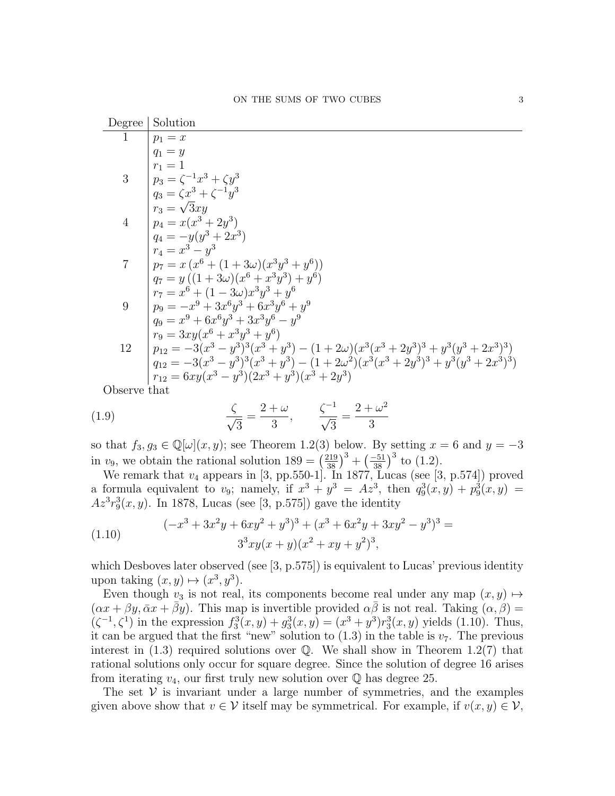| Degree         | Solution                                                                                       |
|----------------|------------------------------------------------------------------------------------------------|
|                | $p_1=x$                                                                                        |
|                | $q_1 = y$                                                                                      |
|                | $r_1 = 1$                                                                                      |
| 3              | $  p_3 = \zeta^{-1} x^3 + \zeta y^3$                                                           |
|                | $q_3 = \zeta x^3 + \zeta^{-1} y^3$                                                             |
|                | $r_3 = \sqrt{3}xu$                                                                             |
| $\overline{4}$ | $  p_4 = x(x^3 + 2y^3)$                                                                        |
|                | $q_4 = -y(y^3 + 2x^3)$                                                                         |
|                | $r_4 = x^3 - y^3$                                                                              |
| $\overline{7}$ | $ p_7=x(x^6+(1+3\omega)(x^3y^3+y^6))$                                                          |
|                | $q_7 = y ((1 + 3\omega)(x^6 + x^3y^3) + y^6)$                                                  |
|                | $r_7 = x^6 + (1 - 3\omega)x^3y^3 + y^6$                                                        |
| 9              | $p_9 = -x^9 + 3x^6y^3 + 6x^3y^6 + y^9$                                                         |
|                | $q_9 = x^9 + 6x^6y^3 + 3x^3y^6 - y^9$                                                          |
|                | $r_9 = 3xy(x^6 + x^3y^3 + y^6)$                                                                |
| 12             | $p_{12} = -3(x^3 - y^3)^3(x^3 + y^3) - (1 + 2\omega)(x^3(x^3 + 2y^3)^3 + y^3(y^3 + 2x^3)^3)$   |
|                | $q_{12} = -3(x^3 - y^3)^3(x^3 + y^3) - (1 + 2\omega^2)(x^3(x^3 + 2y^3)^3 + y^3(y^3 + 2x^3)^3)$ |
|                | $r_{12} = 6xy(x^3 - y^3)(2x^3 + y^3)(x^3 + 2y^3)$                                              |
| Observe that   |                                                                                                |

$$
\zeta
$$

(1.9) 
$$
\frac{\zeta}{\sqrt{3}} = \frac{2+\omega}{3}, \qquad \frac{\zeta^{-1}}{\sqrt{3}} = \frac{2+\omega^2}{3}
$$

so that  $f_3, g_3 \in \mathbb{Q}[\omega](x, y)$ ; see Theorem 1.2(3) below. By setting  $x = 6$  and  $y = -3$ in  $v_9$ , we obtain the rational solution  $189 = (\frac{219}{38})^3 + (\frac{-51}{38})^3$  to (1.2).

We remark that  $v_4$  appears in [3, pp.550-1]. In 1877, Lucas (see [3, p.574]) proved a formula equivalent to  $v_9$ ; namely, if  $x^3 + y^3 = Az^3$ , then  $q_9^3(x, y) + p_9^3(x, y) =$  $Az^{3}r_{9}^{3}(x, y)$ . In 1878, Lucas (see [3, p.575]) gave the identity

(1.10) 
$$
(-x^3 + 3x^2y + 6xy^2 + y^3)^3 + (x^3 + 6x^2y + 3xy^2 - y^3)^3 =
$$

$$
3^3xy(x+y)(x^2 + xy + y^2)^3,
$$

which Desboves later observed (see [3, p.575]) is equivalent to Lucas' previous identity upon taking  $(x, y) \mapsto (x^3, y^3)$ .

Even though  $v_3$  is not real, its components become real under any map  $(x, y) \mapsto$  $(\alpha x + \beta y, \bar{\alpha} x + \bar{\beta} y)$ . This map is invertible provided  $\alpha \bar{\beta}$  is not real. Taking  $(\alpha, \beta)$  =  $(\zeta^{-1}, \zeta^1)$  in the expression  $f_3^3(x, y) + g_3^3(x, y) = (x^3 + y^3) r_3^3(x, y)$  yields (1.10). Thus, it can be argued that the first "new" solution to  $(1.3)$  in the table is  $v_7$ . The previous interest in  $(1.3)$  required solutions over Q. We shall show in Theorem 1.2(7) that rational solutions only occur for square degree. Since the solution of degree 16 arises from iterating  $v_4$ , our first truly new solution over  $\mathbb Q$  has degree 25.

The set  $V$  is invariant under a large number of symmetries, and the examples given above show that  $v \in V$  itself may be symmetrical. For example, if  $v(x, y) \in V$ ,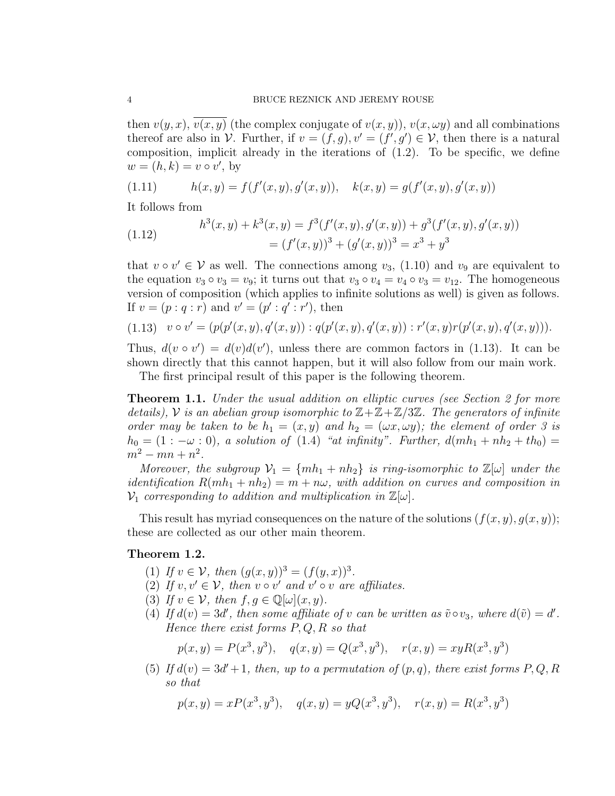then  $v(y, x)$ ,  $v(x, y)$  (the complex conjugate of  $v(x, y)$ ),  $v(x, \omega y)$  and all combinations thereof are also in V. Further, if  $v = (f, g), v' = (f', g') \in V$ , then there is a natural composition, implicit already in the iterations of  $(1.2)$ . To be specific, we define  $w = (h, k) = v \circ v'$ , by

(1.11) 
$$
h(x,y) = f(f'(x,y), g'(x,y)), \quad k(x,y) = g(f'(x,y), g'(x,y))
$$

It follows from

(1.12) 
$$
h^{3}(x, y) + k^{3}(x, y) = f^{3}(f'(x, y), g'(x, y)) + g^{3}(f'(x, y), g'(x, y))
$$

$$
= (f'(x, y))^{3} + (g'(x, y))^{3} = x^{3} + y^{3}
$$

that  $v \circ v' \in V$  as well. The connections among  $v_3$ , (1.10) and  $v_9$  are equivalent to the equation  $v_3 \circ v_3 = v_9$ ; it turns out that  $v_3 \circ v_4 = v_4 \circ v_3 = v_{12}$ . The homogeneous version of composition (which applies to infinite solutions as well) is given as follows. If  $v = (p : q : r)$  and  $v' = (p' : q' : r')$ , then

$$
(1.13) \quad v \circ v' = (p(p'(x, y), q'(x, y)) : q(p'(x, y), q'(x, y)) : r'(x, y)r(p'(x, y), q'(x, y))).
$$

Thus,  $d(v \circ v') = d(v)d(v')$ , unless there are common factors in (1.13). It can be shown directly that this cannot happen, but it will also follow from our main work.

The first principal result of this paper is the following theorem.

**Theorem 1.1.** Under the usual addition on elliptic curves (see Section 2 for more details), V is an abelian group isomorphic to  $\mathbb{Z}+\mathbb{Z}+\mathbb{Z}/3\mathbb{Z}$ . The generators of infinite order may be taken to be  $h_1 = (x, y)$  and  $h_2 = (\omega x, \omega y)$ ; the element of order 3 is  $h_0 = (1:-\omega:0)$ , a solution of  $(1.4)$  "at infinity". Further,  $d(mh_1 + nh_2 + th_0) =$  $m^2 - mn + n^2$ .

Moreover, the subgroup  $\mathcal{V}_1 = \{mh_1 + nh_2\}$  is ring-isomorphic to  $\mathbb{Z}[\omega]$  under the identification  $R(mh_1 + nh_2) = m + n\omega$ , with addition on curves and composition in  $\mathcal{V}_1$  corresponding to addition and multiplication in  $\mathbb{Z}[\omega]$ .

This result has myriad consequences on the nature of the solutions  $(f(x, y), g(x, y))$ ; these are collected as our other main theorem.

## Theorem 1.2.

- (1) If  $v \in V$ , then  $(g(x, y))^3 = (f(y, x))^3$ .
- (2) If  $v, v' \in V$ , then  $v \circ v'$  and  $v' \circ v$  are affiliates.
- (3) If  $v \in \mathcal{V}$ , then  $f, g \in \mathbb{Q}[\omega](x, y)$ .
- (4) If  $d(v) = 3d'$ , then some affiliate of v can be written as  $\tilde{v} \circ v_3$ , where  $d(\tilde{v}) = d'$ . Hence there exist forms  $P, Q, R$  so that

$$
p(x, y) = P(x^3, y^3), \quad q(x, y) = Q(x^3, y^3), \quad r(x, y) = xyR(x^3, y^3)
$$

(5) If  $d(v) = 3d' + 1$ , then, up to a permutation of  $(p, q)$ , there exist forms P, Q, R so that

$$
p(x, y) = xP(x^3, y^3), q(x, y) = yQ(x^3, y^3), r(x, y) = R(x^3, y^3)
$$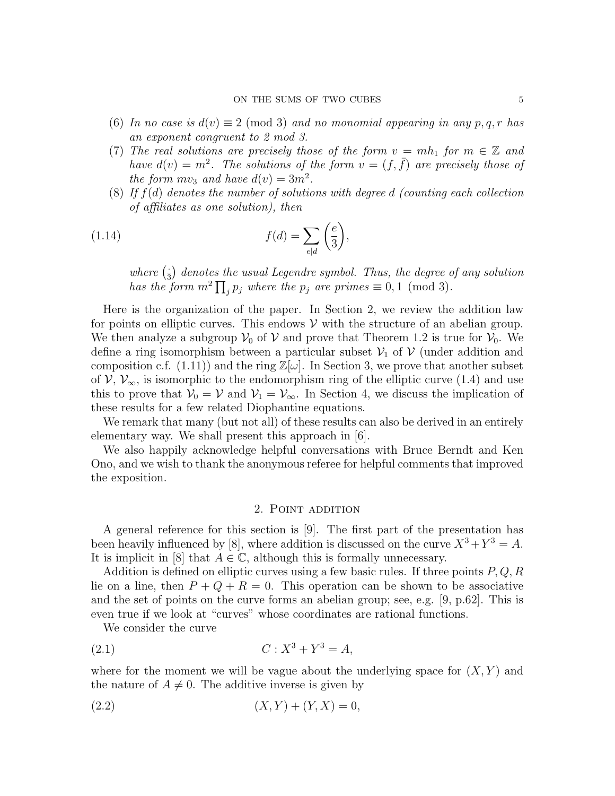- (6) In no case is  $d(v) \equiv 2 \pmod{3}$  and no monomial appearing in any p, q, r has an exponent congruent to 2 mod 3.
- (7) The real solutions are precisely those of the form  $v = mh_1$  for  $m \in \mathbb{Z}$  and have  $d(v) = m^2$ . The solutions of the form  $v = (f, \bar{f})$  are precisely those of the form  $mv_3$  and have  $d(v) = 3m^2$ .
- (8) If  $f(d)$  denotes the number of solutions with degree d (counting each collection of affiliates as one solution), then

(1.14) 
$$
f(d) = \sum_{e|d} \left(\frac{e}{3}\right),
$$

where  $(\frac{1}{3})$  $\frac{1}{3}$ ) denotes the usual Legendre symbol. Thus, the degree of any solution has the form  $m^2 \prod_j p_j$  where the  $p_j$  are primes  $\equiv 0, 1 \pmod{3}$ .

Here is the organization of the paper. In Section 2, we review the addition law for points on elliptic curves. This endows  $\mathcal V$  with the structure of an abelian group. We then analyze a subgroup  $V_0$  of V and prove that Theorem 1.2 is true for  $V_0$ . We define a ring isomorphism between a particular subset  $\mathcal{V}_1$  of  $\mathcal{V}$  (under addition and composition c.f. (1.11)) and the ring  $\mathbb{Z}[\omega]$ . In Section 3, we prove that another subset of  $V, V_{\infty}$ , is isomorphic to the endomorphism ring of the elliptic curve (1.4) and use this to prove that  $V_0 = V$  and  $V_1 = V_\infty$ . In Section 4, we discuss the implication of these results for a few related Diophantine equations.

We remark that many (but not all) of these results can also be derived in an entirely elementary way. We shall present this approach in [6].

We also happily acknowledge helpful conversations with Bruce Berndt and Ken Ono, and we wish to thank the anonymous referee for helpful comments that improved the exposition.

## 2. Point addition

A general reference for this section is [9]. The first part of the presentation has been heavily influenced by [8], where addition is discussed on the curve  $X^3 + Y^3 = A$ . It is implicit in [8] that  $A \in \mathbb{C}$ , although this is formally unnecessary.

Addition is defined on elliptic curves using a few basic rules. If three points  $P, Q, R$ lie on a line, then  $P + Q + R = 0$ . This operation can be shown to be associative and the set of points on the curve forms an abelian group; see, e.g. [9, p.62]. This is even true if we look at "curves" whose coordinates are rational functions.

We consider the curve

(2.1) 
$$
C: X^3 + Y^3 = A,
$$

where for the moment we will be vague about the underlying space for  $(X, Y)$  and the nature of  $A \neq 0$ . The additive inverse is given by

$$
(2.2)\t\t\t (X,Y) + (Y,X) = 0,
$$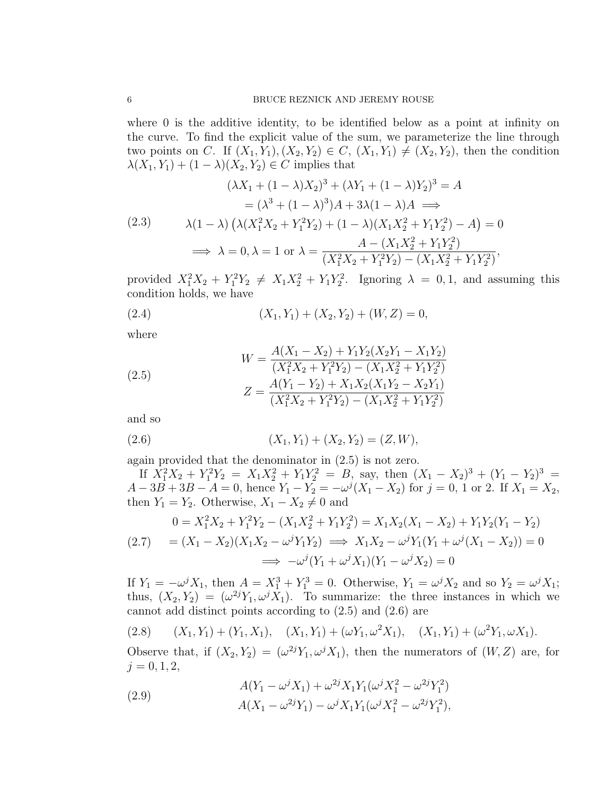where 0 is the additive identity, to be identified below as a point at infinity on the curve. To find the explicit value of the sum, we parameterize the line through two points on C. If  $(X_1, Y_1), (X_2, Y_2) \in C$ ,  $(X_1, Y_1) \neq (X_2, Y_2)$ , then the condition  $\lambda(X_1, Y_1) + (1 - \lambda)(X_2, Y_2) \in C$  implies that

$$
(\lambda X_1 + (1 - \lambda)X_2)^3 + (\lambda Y_1 + (1 - \lambda)Y_2)^3 = A
$$
  
=  $(\lambda^3 + (1 - \lambda)^3)A + 3\lambda(1 - \lambda)A \implies$   
(2.3)  $\lambda(1 - \lambda) (\lambda(X_1^2 X_2 + Y_1^2 Y_2) + (1 - \lambda)(X_1 X_2^2 + Y_1 Y_2^2) - A) = 0$   
 $\implies \lambda = 0, \lambda = 1 \text{ or } \lambda = \frac{A - (X_1 X_2^2 + Y_1 Y_2^2)}{(X_1^2 X_2 + Y_1^2 Y_2) - (X_1 X_2^2 + Y_1 Y_2^2)},$ 

provided  $X_1^2 X_2 + Y_1^2 Y_2 \neq X_1 X_2^2 + Y_1 Y_2^2$ . Ignoring  $\lambda = 0, 1$ , and assuming this condition holds, we have

(2.4) 
$$
(X_1, Y_1) + (X_2, Y_2) + (W, Z) = 0,
$$

where

(2.5)  
\n
$$
W = \frac{A(X_1 - X_2) + Y_1 Y_2 (X_2 Y_1 - X_1 Y_2)}{(X_1^2 X_2 + Y_1^2 Y_2) - (X_1 X_2^2 + Y_1 Y_2^2)}
$$
\n
$$
Z = \frac{A(Y_1 - Y_2) + X_1 X_2 (X_1 Y_2 - X_2 Y_1)}{(X_1^2 X_2 + Y_1^2 Y_2) - (X_1 X_2^2 + Y_1 Y_2^2)}
$$

and so

(2.6) 
$$
(X_1, Y_1) + (X_2, Y_2) = (Z, W),
$$

again provided that the denominator in (2.5) is not zero.

If  $X_1^2X_2 + Y_1^2Y_2 = X_1X_2^2 + Y_1Y_2^2 = B$ , say, then  $(X_1 - X_2)^3 + (Y_1 - Y_2)^3 =$  $A - 3B + 3B - A = 0$ , hence  $Y_1 - Y_2 = -\omega^j (X_1 - X_2)$  for  $j = 0, 1$  or 2. If  $X_1 = X_2$ , then  $Y_1 = Y_2$ . Otherwise,  $X_1 - X_2 \neq 0$  and

$$
0 = X_1^2 X_2 + Y_1^2 Y_2 - (X_1 X_2^2 + Y_1 Y_2^2) = X_1 X_2 (X_1 - X_2) + Y_1 Y_2 (Y_1 - Y_2)
$$
  
(2.7) 
$$
= (X_1 - X_2)(X_1 X_2 - \omega^j Y_1 Y_2) \implies X_1 X_2 - \omega^j Y_1 (Y_1 + \omega^j (X_1 - X_2)) = 0
$$

$$
\implies -\omega^j (Y_1 + \omega^j X_1)(Y_1 - \omega^j X_2) = 0
$$

If  $Y_1 = -\omega^j X_1$ , then  $A = X_1^3 + Y_1^3 = 0$ . Otherwise,  $Y_1 = \omega^j X_2$  and so  $Y_2 = \omega^j X_1$ ; thus,  $(X_2, Y_2) = (\omega^{2j} Y_1, \omega^{j} X_1)$ . To summarize: the three instances in which we cannot add distinct points according to (2.5) and (2.6) are

$$
(2.8) \qquad (X_1, Y_1) + (Y_1, X_1), \quad (X_1, Y_1) + (\omega Y_1, \omega^2 X_1), \quad (X_1, Y_1) + (\omega^2 Y_1, \omega X_1).
$$

Observe that, if  $(X_2, Y_2) = (\omega^{2j} Y_1, \omega^{j} X_1)$ , then the numerators of  $(W, Z)$  are, for  $j = 0, 1, 2,$ 

(2.9) 
$$
A(Y_1 - \omega^j X_1) + \omega^{2j} X_1 Y_1 (\omega^j X_1^2 - \omega^{2j} Y_1^2) A(X_1 - \omega^{2j} Y_1) - \omega^j X_1 Y_1 (\omega^j X_1^2 - \omega^{2j} Y_1^2),
$$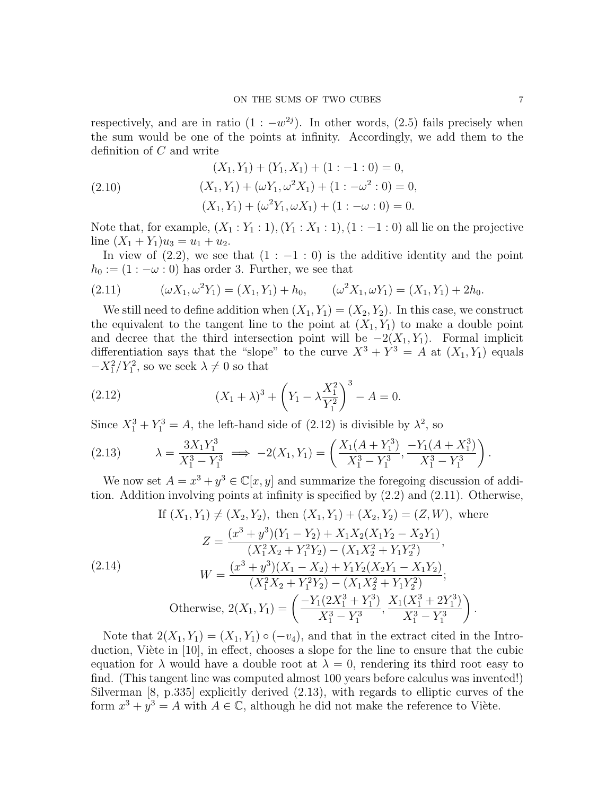respectively, and are in ratio  $(1:-w^{2j})$ . In other words,  $(2.5)$  fails precisely when the sum would be one of the points at infinity. Accordingly, we add them to the definition of C and write

(2.10)  
\n
$$
(X_1, Y_1) + (Y_1, X_1) + (1:-1:0) = 0,
$$
\n
$$
(X_1, Y_1) + (\omega Y_1, \omega^2 X_1) + (1:-\omega^2:0) = 0,
$$
\n
$$
(X_1, Y_1) + (\omega^2 Y_1, \omega X_1) + (1:-\omega:0) = 0.
$$

Note that, for example,  $(X_1:Y_1:1), (Y_1:X_1:1), (1:-1:0)$  all lie on the projective line  $(X_1 + Y_1)u_3 = u_1 + u_2$ .

In view of  $(2.2)$ , we see that  $(1:-1:0)$  is the additive identity and the point  $h_0 := (1 : -\omega : 0)$  has order 3. Further, we see that

(2.11) 
$$
(\omega X_1, \omega^2 Y_1) = (X_1, Y_1) + h_0, \qquad (\omega^2 X_1, \omega Y_1) = (X_1, Y_1) + 2h_0.
$$

We still need to define addition when  $(X_1, Y_1) = (X_2, Y_2)$ . In this case, we construct the equivalent to the tangent line to the point at  $(X_1, Y_1)$  to make a double point and decree that the third intersection point will be  $-2(X_1, Y_1)$ . Formal implicit differentiation says that the "slope" to the curve  $X^3 + Y^3 = A$  at  $(X_1, Y_1)$  equals  $-X_1^2/Y_1^2$ , so we seek  $\lambda \neq 0$  so that

(2.12) 
$$
(X_1 + \lambda)^3 + \left(Y_1 - \lambda \frac{X_1^2}{Y_1^2}\right)^3 - A = 0.
$$

Since  $X_1^3 + Y_1^3 = A$ , the left-hand side of (2.12) is divisible by  $\lambda^2$ , so

$$
(2.13) \qquad \lambda = \frac{3X_1Y_1^3}{X_1^3 - Y_1^3} \implies -2(X_1, Y_1) = \left(\frac{X_1(A + Y_1^3)}{X_1^3 - Y_1^3}, \frac{-Y_1(A + X_1^3)}{X_1^3 - Y_1^3}\right).
$$

We now set  $A = x^3 + y^3 \in \mathbb{C}[x, y]$  and summarize the foregoing discussion of addition. Addition involving points at infinity is specified by (2.2) and (2.11). Otherwise,

$$
\text{If } (X_1, Y_1) \neq (X_2, Y_2), \text{ then } (X_1, Y_1) + (X_2, Y_2) = (Z, W), \text{ where}
$$
\n
$$
Z = \frac{(x^3 + y^3)(Y_1 - Y_2) + X_1 X_2 (X_1 Y_2 - X_2 Y_1)}{(X_1^2 X_2 + Y_1^2 Y_2) - (X_1 X_2^2 + Y_1 Y_2^2)},
$$
\n
$$
(2.14)
$$
\n
$$
W = \frac{(x^3 + y^3)(X_1 - X_2) + Y_1 Y_2 (X_2 Y_1 - X_1 Y_2)}{(X_1^2 X_2 + Y_1^2 Y_2) - (X_1 X_2^2 + Y_1 Y_2^2)};
$$
\n
$$
\text{Otherwise, } 2(X_1, Y_1) = \left(\frac{-Y_1 (2X_1^3 + Y_1^3)}{X_1^3 - Y_1^3}, \frac{X_1 (X_1^3 + 2Y_1^3)}{X_1^3 - Y_1^3}\right).
$$

Note that  $2(X_1, Y_1) = (X_1, Y_1) \circ (-v_4)$ , and that in the extract cited in the Introduction, Viète in  $[10]$ , in effect, chooses a slope for the line to ensure that the cubic equation for  $\lambda$  would have a double root at  $\lambda = 0$ , rendering its third root easy to find. (This tangent line was computed almost 100 years before calculus was invented!) Silverman [8, p.335] explicitly derived (2.13), with regards to elliptic curves of the form  $x^3 + y^3 = A$  with  $A \in \mathbb{C}$ , although he did not make the reference to Viète.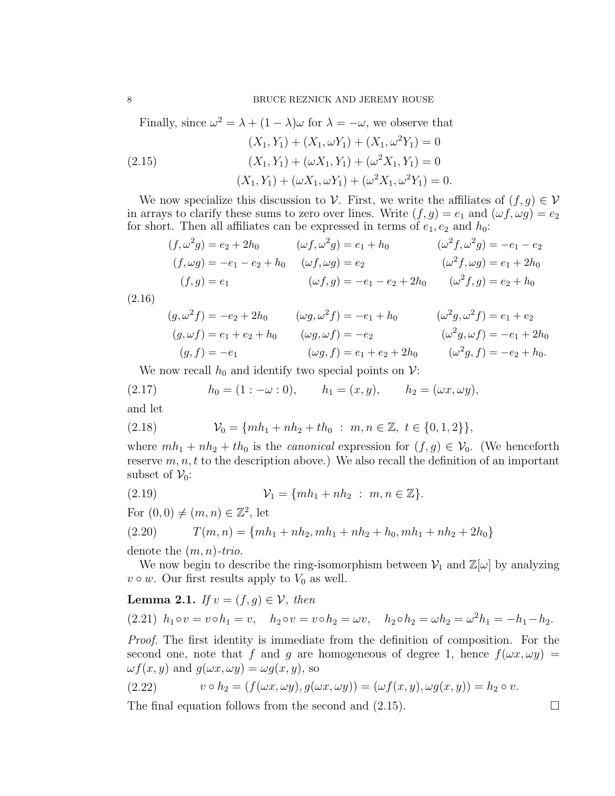Finally, since  $\omega^2 = \lambda + (1 - \lambda)\omega$  for  $\lambda = -\omega$ , we observe that

(2.15)  
\n
$$
(X_1, Y_1) + (X_1, \omega Y_1) + (X_1, \omega^2 Y_1) = 0
$$
\n
$$
(X_1, Y_1) + (\omega X_1, Y_1) + (\omega^2 X_1, Y_1) = 0
$$
\n
$$
(X_1, Y_1) + (\omega X_1, \omega Y_1) + (\omega^2 X_1, \omega^2 Y_1) = 0.
$$

We now specialize this discussion to V. First, we write the affiliates of  $(f, g) \in V$ in arrays to clarify these sums to zero over lines. Write  $(f, g) = e_1$  and  $(\omega f, \omega g) = e_2$ for short. Then all affiliates can be expressed in terms of  $e_1, e_2$  and  $h_0$ :

$$
(f, \omega^2 g) = e_2 + 2h_0 \qquad (\omega f, \omega^2 g) = e_1 + h_0 \qquad (\omega^2 f, \omega^2 g) = -e_1 - e_2
$$
  

$$
(f, \omega g) = -e_1 - e_2 + h_0 \qquad (\omega f, \omega g) = e_2 \qquad (\omega^2 f, \omega g) = e_1 + 2h_0
$$
  

$$
(f, g) = e_1 \qquad (\omega f, g) = -e_1 - e_2 + 2h_0 \qquad (\omega^2 f, g) = e_2 + h_0
$$

(2.16)

$$
(g, \omega^2 f) = -e_2 + 2h_0 \qquad (\omega g, \omega^2 f) = -e_1 + h_0 \qquad (\omega^2 g, \omega^2 f) = e_1 + e_2
$$
  
\n
$$
(g, \omega f) = e_1 + e_2 + h_0 \qquad (\omega g, \omega f) = -e_2 \qquad (\omega^2 g, \omega f) = -e_1 + 2h_0
$$
  
\n
$$
(g, f) = -e_1 \qquad (\omega g, f) = e_1 + e_2 + 2h_0 \qquad (\omega^2 g, f) = -e_2 + h_0.
$$

We now recall  $h_0$  and identify two special points on  $\mathcal{V}$ :

(2.17) 
$$
h_0 = (1 : -\omega : 0),
$$
  $h_1 = (x, y),$   $h_2 = (\omega x, \omega y),$   
and let

(2.18) 
$$
\mathcal{V}_0 = \{mh_1 + nh_2 + th_0 : m, n \in \mathbb{Z}, t \in \{0, 1, 2\}\},
$$

where  $mh_1 + nh_2 + th_0$  is the *canonical* expression for  $(f, g) \in V_0$ . (We henceforth reserve  $m, n, t$  to the description above.) We also recall the definition of an important subset of  $\mathcal{V}_0$ :

(2.19) 
$$
\mathcal{V}_1 = \{mh_1 + nh_2 : m, n \in \mathbb{Z}\}.
$$

For  $(0,0) \neq (m, n) \in \mathbb{Z}^2$ , let

(2.20) 
$$
T(m,n) = \{mh_1 + nh_2, mh_1 + nh_2 + h_0, mh_1 + nh_2 + 2h_0\}
$$

denote the  $(m, n)$ -trio.

We now begin to describe the ring-isomorphism between  $\mathcal{V}_1$  and  $\mathbb{Z}[\omega]$  by analyzing  $v \circ w$ . Our first results apply to  $V_0$  as well.

# **Lemma 2.1.** If  $v = (f, g) \in V$ , then (2.21)  $h_1 \circ v = v \circ h_1 = v$ ,  $h_2 \circ v = v \circ h_2 = \omega v$ ,  $h_2 \circ h_2 = \omega h_2 = \omega^2 h_1 = -h_1 - h_2$ .

Proof. The first identity is immediate from the definition of composition. For the second one, note that f and g are homogeneous of degree 1, hence  $f(\omega x, \omega y) =$  $\omega f(x, y)$  and  $g(\omega x, \omega y) = \omega g(x, y)$ , so

$$
(2.22) \t v \circ h_2 = (f(\omega x, \omega y), g(\omega x, \omega y)) = (\omega f(x, y), \omega g(x, y)) = h_2 \circ v.
$$

The final equation follows from the second and  $(2.15)$ .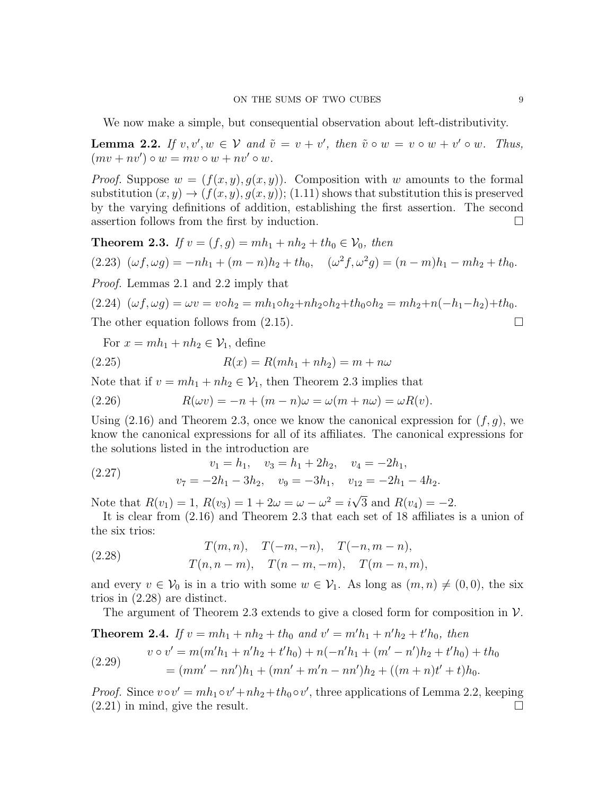We now make a simple, but consequential observation about left-distributivity.

**Lemma 2.2.** If  $v, v', w \in V$  and  $\tilde{v} = v + v'$ , then  $\tilde{v} \circ w = v \circ w + v' \circ w$ . Thus,  $(mv + nv') \circ w = mv \circ w + nv' \circ w.$ 

*Proof.* Suppose  $w = (f(x, y), g(x, y))$ . Composition with w amounts to the formal substitution  $(x, y) \rightarrow (f(x, y), g(x, y))$ ; (1.11) shows that substitution this is preserved by the varying definitions of addition, establishing the first assertion. The second assertion follows from the first by induction.  $\Box$ 

**Theorem 2.3.** If  $v = (f, g) = mh_1 + nh_2 + th_0 \in V_0$ , then

$$
(2.23)\ \ (\omega f, \omega g) = -nh_1 + (m - n)h_2 + th_0, \quad (\omega^2 f, \omega^2 g) = (n - m)h_1 - mh_2 + th_0.
$$

Proof. Lemmas 2.1 and 2.2 imply that

$$
(2.24)\ \ (\omega f, \omega g) = \omega v = v \circ h_2 = mh_1 \circ h_2 + nh_2 \circ h_2 + th_0 \circ h_2 = mh_2 + n(-h_1 - h_2) + th_0.
$$

The other equation follows from  $(2.15)$ .

For  $x = mh_1 + nh_2 \in \mathcal{V}_1$ , define

(2.25) 
$$
R(x) = R(mh_1 + nh_2) = m + n\omega
$$

Note that if  $v = mh_1 + nh_2 \in V_1$ , then Theorem 2.3 implies that

(2.26) 
$$
R(\omega v) = -n + (m - n)\omega = \omega(m + n\omega) = \omega R(v).
$$

Using (2.16) and Theorem 2.3, once we know the canonical expression for  $(f, g)$ , we know the canonical expressions for all of its affiliates. The canonical expressions for the solutions listed in the introduction are

(2.27) 
$$
v_1 = h_1, \quad v_3 = h_1 + 2h_2, \quad v_4 = -2h_1,
$$

$$
v_7 = -2h_1 - 3h_2, \quad v_9 = -3h_1, \quad v_{12} = -2h_1 - 4h_2.
$$

Note that  $R(v_1) = 1, R(v_3) = 1 + 2\omega = \omega - \omega^2 = i$ 3 and  $R(v_4) = -2$ .

It is clear from (2.16) and Theorem 2.3 that each set of 18 affiliates is a union of the six trios:

(2.28) 
$$
T(m, n), T(-m, -n), T(-n, m-n),
$$

$$
T(n, n-m), T(n-m, -m), T(m-n, m),
$$

and every  $v \in V_0$  is in a trio with some  $w \in V_1$ . As long as  $(m, n) \neq (0, 0)$ , the six trios in (2.28) are distinct.

The argument of Theorem 2.3 extends to give a closed form for composition in  $\mathcal{V}$ .

**Theorem 2.4.** If  $v = mh_1 + nh_2 + th_0$  and  $v' = m'h_1 + n'h_2 + t'h_0$ , then

(2.29) 
$$
v \circ v' = m(m'h_1 + n'h_2 + t'h_0) + n(-n'h_1 + (m'-n')h_2 + t'h_0) + th_0
$$

$$
= (mm'-nn')h_1 + (mn'+m'n - nn')h_2 + ((m+n)t' + t)h_0.
$$

*Proof.* Since  $v \circ v' = mh_1 \circ v' + nh_2 + th_0 \circ v'$ , three applications of Lemma 2.2, keeping  $(2.21)$  in mind, give the result.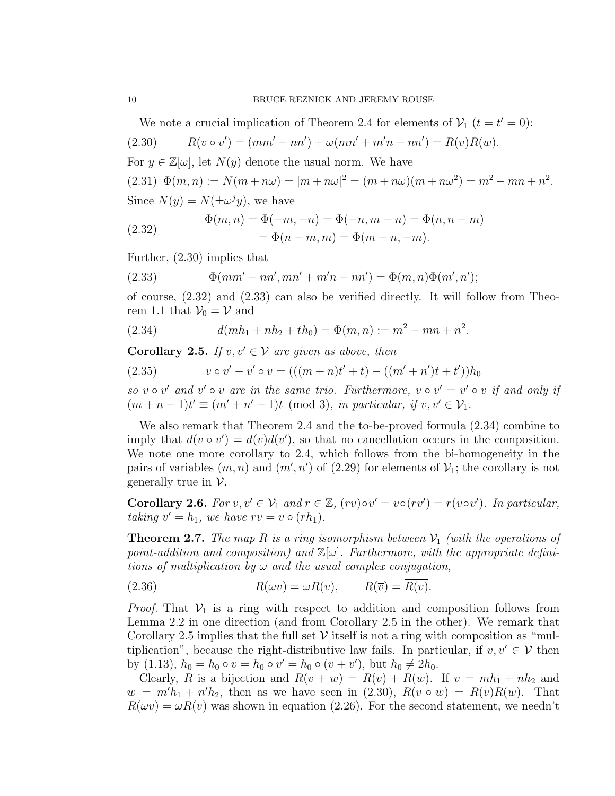We note a crucial implication of Theorem 2.4 for elements of  $V_1$   $(t = t' = 0)$ :

(2.30) 
$$
R(v \circ v') = (mm' - nn') + \omega(mn' + m'n - nn') = R(v)R(w).
$$

For  $y \in \mathbb{Z}[\omega]$ , let  $N(y)$  denote the usual norm. We have

(2.31)  $\Phi(m,n) := N(m+n\omega) = |m+n\omega|^2 = (m+n\omega)(m+n\omega^2) = m^2 - mn + n^2$ . Since  $N(y) = N(\pm \omega^j y)$ , we have

(2.32) 
$$
\Phi(m, n) = \Phi(-m, -n) = \Phi(-n, m - n) = \Phi(n, n - m) \n= \Phi(n - m, m) = \Phi(m - n, -m).
$$

Further, (2.30) implies that

(2.33) 
$$
\Phi(mm' - nn', mn' + m'n - nn') = \Phi(m, n)\Phi(m', n');
$$

of course, (2.32) and (2.33) can also be verified directly. It will follow from Theorem 1.1 that  $\mathcal{V}_0 = \mathcal{V}$  and

(2.34) 
$$
d(mh_1 + nh_2 + th_0) = \Phi(m, n) := m^2 - mn + n^2.
$$

**Corollary 2.5.** If  $v, v' \in V$  are given as above, then

(2.35) 
$$
v \circ v' - v' \circ v = (((m+n)t'+t) - ((m'+n')t+t'))h_0
$$

so  $v \circ v'$  and  $v' \circ v$  are in the same trio. Furthermore,  $v \circ v' = v' \circ v$  if and only if  $(m+n-1)t' \equiv (m'+n'-1)t \pmod{3}$ , in particular, if  $v, v' \in \mathcal{V}_1$ .

We also remark that Theorem 2.4 and the to-be-proved formula (2.34) combine to imply that  $d(v \circ v') = d(v)d(v')$ , so that no cancellation occurs in the composition. We note one more corollary to 2.4, which follows from the bi-homogeneity in the pairs of variables  $(m, n)$  and  $(m', n')$  of  $(2.29)$  for elements of  $\mathcal{V}_1$ ; the corollary is not generally true in  $\mathcal V$ .

**Corollary 2.6.** For  $v, v' \in V_1$  and  $r \in \mathbb{Z}$ ,  $(rv) \circ v' = v \circ (rv') = r(v \circ v')$ . In particular, taking  $v' = h_1$ , we have  $rv = v \circ (rh_1)$ .

**Theorem 2.7.** The map R is a ring isomorphism between  $V_1$  (with the operations of point-addition and composition) and  $\mathbb{Z}[\omega]$ . Furthermore, with the appropriate definitions of multiplication by  $\omega$  and the usual complex conjugation,

(2.36) 
$$
R(\omega v) = \omega R(v), \qquad R(\overline{v}) = R(v).
$$

*Proof.* That  $V_1$  is a ring with respect to addition and composition follows from Lemma 2.2 in one direction (and from Corollary 2.5 in the other). We remark that Corollary 2.5 implies that the full set  $\mathcal V$  itself is not a ring with composition as "multiplication", because the right-distributive law fails. In particular, if  $v, v' \in V$  then by (1.13),  $h_0 = h_0 \circ v = h_0 \circ v' = h_0 \circ (v + v')$ , but  $h_0 \neq 2h_0$ .

Clearly, R is a bijection and  $R(v + w) = R(v) + R(w)$ . If  $v = mh_1 + nh_2$  and  $w = m'h_1 + n'h_2$ , then as we have seen in (2.30),  $R(v \circ w) = R(v)R(w)$ . That  $R(\omega v) = \omega R(v)$  was shown in equation (2.26). For the second statement, we needn't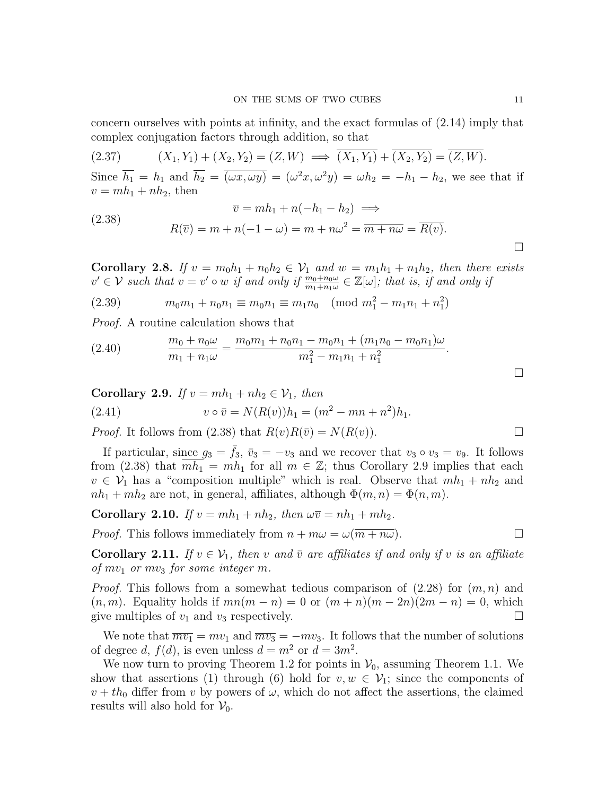concern ourselves with points at infinity, and the exact formulas of (2.14) imply that complex conjugation factors through addition, so that

$$
(2.37) \qquad (X_1, Y_1) + (X_2, Y_2) = (Z, W) \implies (X_1, Y_1) + (X_2, Y_2) = (Z, W).
$$

Since  $\overline{h_1} = h_1$  and  $\overline{h_2} = \overline{(\omega x, \omega y)} = (\omega^2 x, \omega^2 y) = \omega h_2 = -h_1 - h_2$ , we see that if  $v = mh_1 + nh_2$ , then

(2.38) 
$$
\overline{v} = mh_1 + n(-h_1 - h_2) \implies
$$

$$
R(\overline{v}) = m + n(-1 - \omega) = m + n\omega^2 = \overline{m + n\omega} = \overline{R(v)}.
$$

Corollary 2.8. If  $v = m_0 h_1 + n_0 h_2 \in V_1$  and  $w = m_1 h_1 + n_1 h_2$ , then there exists  $v' \in V$  such that  $v = v' \circ w$  if and only if  $\frac{m_0 + n_0 \omega}{m_1 + n_1 \omega} \in \mathbb{Z}[\omega]$ ; that is, if and only if

(2.39) 
$$
m_0 m_1 + n_0 n_1 \equiv m_0 n_1 \equiv m_1 n_0 \pmod{m_1^2 - m_1 n_1 + n_1^2}
$$

Proof. A routine calculation shows that

(2.40) 
$$
\frac{m_0 + n_0 \omega}{m_1 + n_1 \omega} = \frac{m_0 m_1 + n_0 n_1 - m_0 n_1 + (m_1 n_0 - m_0 n_1) \omega}{m_1^2 - m_1 n_1 + n_1^2}.
$$

Corollary 2.9. If  $v = mh_1 + nh_2 \in V_1$ , then

(2.41) 
$$
v \circ \bar{v} = N(R(v))h_1 = (m^2 - mn + n^2)h_1.
$$

*Proof.* It follows from (2.38) that  $R(v)R(\bar{v}) = N(R(v))$ .

If particular, since  $g_3 = f_3$ ,  $\bar{v}_3 = -v_3$  and we recover that  $v_3 \circ v_3 = v_9$ . It follows from (2.38) that  $mh_1 = mh_1$  for all  $m \in \mathbb{Z}$ ; thus Corollary 2.9 implies that each  $v \in V_1$  has a "composition multiple" which is real. Observe that  $mh_1 + nh_2$  and  $nh_1 + mh_2$  are not, in general, affiliates, although  $\Phi(m, n) = \Phi(n, m)$ .

**Corollary 2.10.** If 
$$
v = mh_1 + nh_2
$$
, then  $\omega \overline{v} = nh_1 + mh_2$ .  
*Proof.* This follows immediately from  $n + m\omega = \omega(\overline{m + n\omega})$ .

**Corollary 2.11.** If  $v \in V_1$ , then v and  $\bar{v}$  are affiliates if and only if v is an affiliate of  $mv_1$  or  $mv_3$  for some integer m.

*Proof.* This follows from a somewhat tedious comparison of  $(2.28)$  for  $(m, n)$  and  $(n, m)$ . Equality holds if  $mn(m - n) = 0$  or  $(m + n)(m - 2n)(2m - n) = 0$ , which give multiples of  $v_1$  and  $v_3$  respectively.

We note that  $\overline{mv_1} = mv_1$  and  $\overline{mv_3} = -mv_3$ . It follows that the number of solutions of degree d,  $f(d)$ , is even unless  $d = m^2$  or  $d = 3m^2$ .

We now turn to proving Theorem 1.2 for points in  $V_0$ , assuming Theorem 1.1. We show that assertions (1) through (6) hold for  $v, w \in V_1$ ; since the components of  $v + th_0$  differ from v by powers of  $\omega$ , which do not affect the assertions, the claimed results will also hold for  $V_0$ .

 $\Box$ 

 $\Box$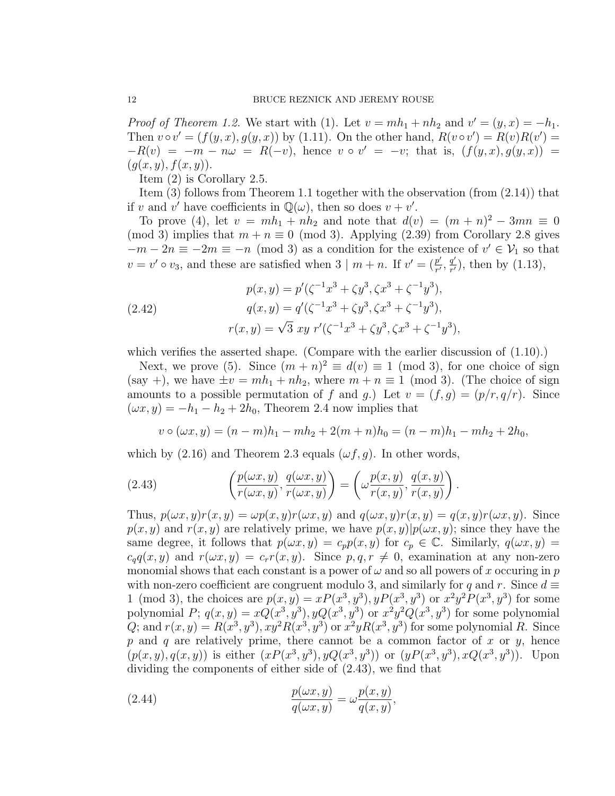Proof of Theorem 1.2. We start with (1). Let  $v = mh_1 + nh_2$  and  $v' = (y, x) = -h_1$ . Then  $v \circ v' = (f(y, x), g(y, x))$  by (1.11). On the other hand,  $R(v \circ v') = R(v)R(v') =$  $-R(v) = -m - n\omega = R(-v)$ , hence  $v \circ v' = -v$ ; that is,  $(f(y,x), g(y,x)) =$  $(g(x, y), f(x, y)).$ 

Item (2) is Corollary 2.5.

Item (3) follows from Theorem 1.1 together with the observation (from (2.14)) that if v and v' have coefficients in  $\mathbb{Q}(\omega)$ , then so does  $v + v'$ .

To prove (4), let  $v = mh_1 + nh_2$  and note that  $d(v) = (m+n)^2 - 3mn \equiv 0$ (mod 3) implies that  $m + n \equiv 0 \pmod{3}$ . Applying (2.39) from Corollary 2.8 gives  $-m-2n \equiv -2m \equiv -n \pmod{3}$  as a condition for the existence of  $v' \in V_1$  so that  $v = v' \circ v_3$ , and these are satisfied when 3 |  $m + n$ . If  $v' = \left(\frac{p'}{r'}\right)$  $\frac{p'}{r'}, \frac{q'}{r'}$  $\frac{q'}{r'}$ , then by (1.13),

(2.42)  
\n
$$
p(x, y) = p'(\zeta^{-1}x^3 + \zeta y^3, \zeta x^3 + \zeta^{-1}y^3),
$$
\n
$$
q(x, y) = q'(\zeta^{-1}x^3 + \zeta y^3, \zeta x^3 + \zeta^{-1}y^3),
$$
\n
$$
r(x, y) = \sqrt{3} xy \ r'(\zeta^{-1}x^3 + \zeta y^3, \zeta x^3 + \zeta^{-1}y^3),
$$

which verifies the asserted shape. (Compare with the earlier discussion of  $(1.10)$ .)

Next, we prove (5). Since  $(m+n)^2 \equiv d(v) \equiv 1 \pmod{3}$ , for one choice of sign (say +), we have  $\pm v = mh_1 + nh_2$ , where  $m + n \equiv 1 \pmod{3}$ . (The choice of sign amounts to a possible permutation of f and g.) Let  $v = (f, g) = (p/r, q/r)$ . Since  $(\omega x, y) = -h_1 - h_2 + 2h_0$ , Theorem 2.4 now implies that

$$
v \circ (\omega x, y) = (n - m)h_1 - mh_2 + 2(m + n)h_0 = (n - m)h_1 - mh_2 + 2h_0,
$$

which by  $(2.16)$  and Theorem 2.3 equals  $(\omega f, g)$ . In other words,

(2.43) 
$$
\left(\frac{p(\omega x, y)}{r(\omega x, y)}, \frac{q(\omega x, y)}{r(\omega x, y)}\right) = \left(\omega \frac{p(x, y)}{r(x, y)}, \frac{q(x, y)}{r(x, y)}\right).
$$

Thus,  $p(\omega x, y)r(x, y) = \omega p(x, y)r(\omega x, y)$  and  $q(\omega x, y)r(x, y) = q(x, y)r(\omega x, y)$ . Since  $p(x, y)$  and  $r(x, y)$  are relatively prime, we have  $p(x, y)|p(\omega x, y)$ ; since they have the same degree, it follows that  $p(\omega x, y) = c_p p(x, y)$  for  $c_p \in \mathbb{C}$ . Similarly,  $q(\omega x, y) =$  $c_qq(x, y)$  and  $r(\omega x, y) = c_r r(x, y)$ . Since  $p, q, r \neq 0$ , examination at any non-zero monomial shows that each constant is a power of  $\omega$  and so all powers of x occuring in p with non-zero coefficient are congruent modulo 3, and similarly for q and r. Since  $d \equiv$ 1 (mod 3), the choices are  $p(x, y) = xP(x^3, y^3), yP(x^3, y^3)$  or  $x^2y^2P(x^3, y^3)$  for some polynomial P;  $q(x, y) = xQ(x^3, y^3), yQ(x^3, y^3)$  or  $x^2y^2Q(x^3, y^3)$  for some polynomial Q; and  $r(x, y) = R(x^3, y^3), xy^2R(x^3, y^3)$  or  $x^2yR(x^3, y^3)$  for some polynomial R. Since p and q are relatively prime, there cannot be a common factor of x or y, hence  $(p(x, y), q(x, y))$  is either  $(xP(x^3, y^3), yQ(x^3, y^3))$  or  $(yP(x^3, y^3), xQ(x^3, y^3))$ . Upon dividing the components of either side of (2.43), we find that

(2.44) 
$$
\frac{p(\omega x, y)}{q(\omega x, y)} = \omega \frac{p(x, y)}{q(x, y)},
$$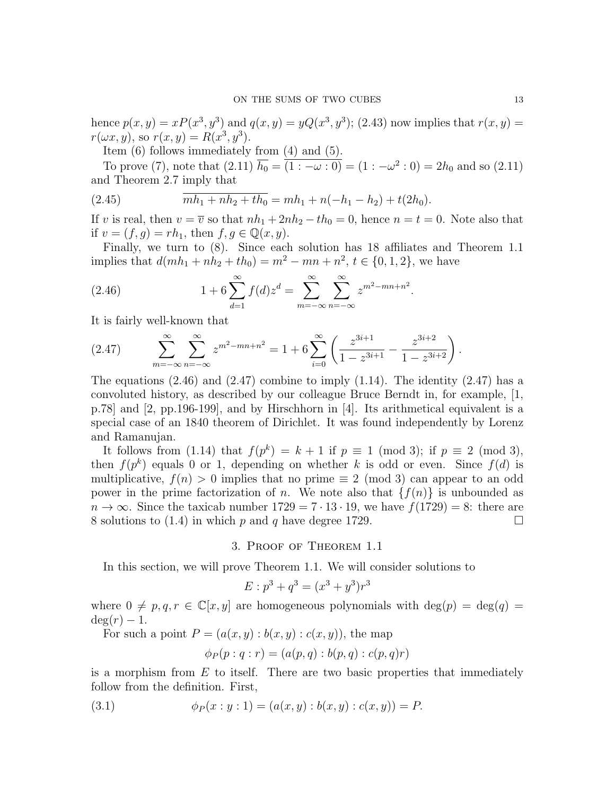hence  $p(x, y) = xP(x^3, y^3)$  and  $q(x, y) = yQ(x^3, y^3)$ ; (2.43) now implies that  $r(x, y) = yQ(x^3, y^3)$  $r(\omega x, y)$ , so  $r(x, y) = R(x^3, y^3)$ .

Item (6) follows immediately from (4) and (5).

To prove (7), note that  $(2.11)$   $\overline{h_0} = (1:-\omega:0) = (1:-\omega^2:0) = 2h_0$  and so  $(2.11)$ and Theorem 2.7 imply that

(2.45) 
$$
\overline{m h_1 + n h_2 + t h_0} = m h_1 + n(-h_1 - h_2) + t(2h_0).
$$

If v is real, then  $v = \overline{v}$  so that  $nh_1 + 2nh_2 - th_0 = 0$ , hence  $n = t = 0$ . Note also that if  $v = (f, g) = rh_1$ , then  $f, g \in \mathbb{Q}(x, y)$ .

Finally, we turn to (8). Since each solution has 18 affiliates and Theorem 1.1 implies that  $d(mh_1 + nh_2 + th_0) = m^2 - mn + n^2$ ,  $t \in \{0, 1, 2\}$ , we have

(2.46) 
$$
1 + 6 \sum_{d=1}^{\infty} f(d) z^d = \sum_{m=-\infty}^{\infty} \sum_{n=-\infty}^{\infty} z^{m^2 - mn + n^2}.
$$

It is fairly well-known that

$$
(2.47) \qquad \sum_{m=-\infty}^{\infty} \sum_{n=-\infty}^{\infty} z^{m^2 - mn + n^2} = 1 + 6 \sum_{i=0}^{\infty} \left( \frac{z^{3i+1}}{1 - z^{3i+1}} - \frac{z^{3i+2}}{1 - z^{3i+2}} \right).
$$

The equations  $(2.46)$  and  $(2.47)$  combine to imply  $(1.14)$ . The identity  $(2.47)$  has a convoluted history, as described by our colleague Bruce Berndt in, for example, [1, p.78] and [2, pp.196-199], and by Hirschhorn in [4]. Its arithmetical equivalent is a special case of an 1840 theorem of Dirichlet. It was found independently by Lorenz and Ramanujan.

It follows from (1.14) that  $f(p^k) = k+1$  if  $p \equiv 1 \pmod{3}$ ; if  $p \equiv 2 \pmod{3}$ , then  $f(p^k)$  equals 0 or 1, depending on whether k is odd or even. Since  $f(d)$  is multiplicative,  $f(n) > 0$  implies that no prime  $\equiv 2 \pmod{3}$  can appear to an odd power in the prime factorization of n. We note also that  $\{f(n)\}\$ is unbounded as  $n \to \infty$ . Since the taxicab number  $1729 = 7 \cdot 13 \cdot 19$ , we have  $f(1729) = 8$ : there are 8 solutions to (1.4) in which p and q have degree 1729.

3. Proof of Theorem 1.1

In this section, we will prove Theorem 1.1. We will consider solutions to

$$
E: p^3 + q^3 = (x^3 + y^3)r^3
$$

where  $0 \neq p, q, r \in \mathbb{C}[x, y]$  are homogeneous polynomials with  $deg(p) = deg(q)$  $deg(r) - 1.$ 

For such a point  $P = (a(x, y) : b(x, y) : c(x, y))$ , the map

$$
\phi_P(p:q:r) = (a(p,q):b(p,q):c(p,q)r)
$$

is a morphism from  $E$  to itself. There are two basic properties that immediately follow from the definition. First,

(3.1) 
$$
\phi_P(x:y:1) = (a(x,y):b(x,y):c(x,y)) = P.
$$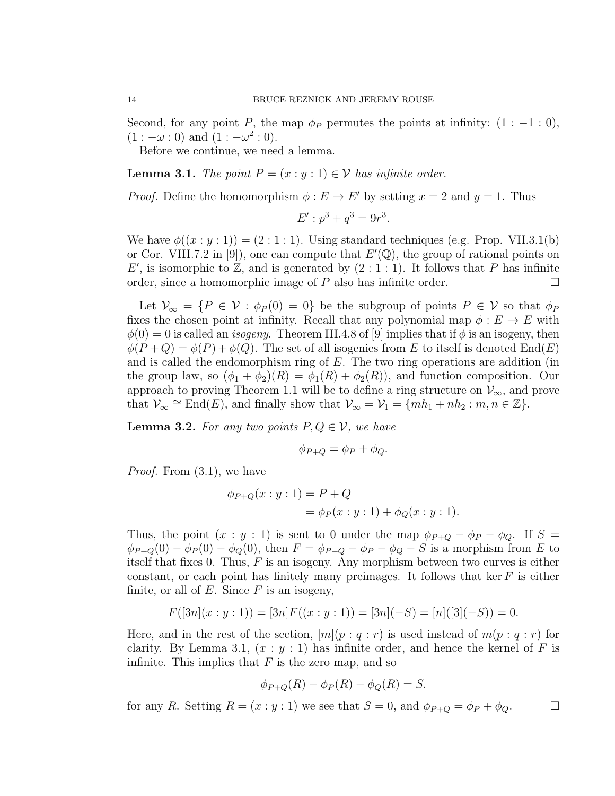Second, for any point P, the map  $\phi_P$  permutes the points at infinity:  $(1:-1:0)$ ,  $(1:-\omega:0)$  and  $(1:-\omega^2:0)$ .

Before we continue, we need a lemma.

**Lemma 3.1.** The point  $P = (x : y : 1) \in V$  has infinite order.

*Proof.* Define the homomorphism  $\phi : E \to E'$  by setting  $x = 2$  and  $y = 1$ . Thus

$$
E': p^3 + q^3 = 9r^3.
$$

We have  $\phi((x : y : 1)) = (2 : 1 : 1)$ . Using standard techniques (e.g. Prop. VII.3.1(b) or Cor. VIII.7.2 in [9]), one can compute that  $E'(\mathbb{Q})$ , the group of rational points on E', is isomorphic to  $\mathbb{Z}$ , and is generated by  $(2:1:1)$ . It follows that P has infinite order, since a homomorphic image of P also has infinite order.  $\Box$ 

Let  $\mathcal{V}_{\infty} = \{P \in \mathcal{V} : \phi_P(0) = 0\}$  be the subgroup of points  $P \in \mathcal{V}$  so that  $\phi_P$ fixes the chosen point at infinity. Recall that any polynomial map  $\phi : E \to E$  with  $\phi(0) = 0$  is called an *isogeny*. Theorem III.4.8 of [9] implies that if  $\phi$  is an isogeny, then  $\phi(P+Q) = \phi(P) + \phi(Q)$ . The set of all isogenies from E to itself is denoted End(E) and is called the endomorphism ring of  $E$ . The two ring operations are addition (in the group law, so  $(\phi_1 + \phi_2)(R) = \phi_1(R) + \phi_2(R)$ , and function composition. Our approach to proving Theorem 1.1 will be to define a ring structure on  $\mathcal{V}_{\infty}$ , and prove that  $\mathcal{V}_{\infty} \cong \text{End}(E)$ , and finally show that  $\mathcal{V}_{\infty} = \mathcal{V}_{1} = \{mh_{1} + nh_{2} : m, n \in \mathbb{Z}\}.$ 

**Lemma 3.2.** For any two points  $P, Q \in V$ , we have

$$
\phi_{P+Q} = \phi_P + \phi_Q.
$$

Proof. From (3.1), we have

$$
\phi_{P+Q}(x:y:1) = P + Q
$$
  
=  $\phi_P(x:y:1) + \phi_Q(x:y:1)$ .

Thus, the point  $(x : y : 1)$  is sent to 0 under the map  $\phi_{P+Q} - \phi_P - \phi_Q$ . If  $S =$  $\phi_{P+Q}(0) - \phi_P(0) - \phi_Q(0)$ , then  $F = \phi_{P+Q} - \phi_P - \phi_Q - S$  is a morphism from E to itself that fixes 0. Thus,  $F$  is an isogeny. Any morphism between two curves is either constant, or each point has finitely many preimages. It follows that ker  $F$  is either finite, or all of  $E$ . Since  $F$  is an isogeny,

$$
F([3n](x:y:1)) = [3n]F((x:y:1)) = [3n](-S) = [n]([3](-S)) = 0.
$$

Here, and in the rest of the section,  $[m](p : q : r)$  is used instead of  $m(p : q : r)$  for clarity. By Lemma 3.1,  $(x : y : 1)$  has infinite order, and hence the kernel of F is infinite. This implies that  $F$  is the zero map, and so

$$
\phi_{P+Q}(R) - \phi_P(R) - \phi_Q(R) = S.
$$

for any R. Setting  $R = (x : y : 1)$  we see that  $S = 0$ , and  $\phi_{P+Q} = \phi_P + \phi_Q$ .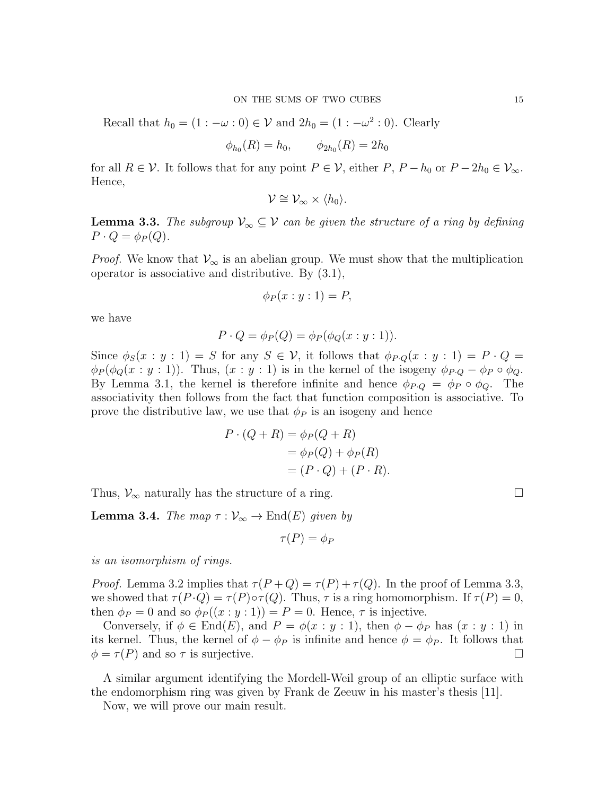Recall that  $h_0 = (1 : -\omega : 0) \in \mathcal{V}$  and  $2h_0 = (1 : -\omega^2 : 0)$ . Clearly

$$
\phi_{h_0}(R) = h_0, \qquad \phi_{2h_0}(R) = 2h_0
$$

for all  $R \in \mathcal{V}$ . It follows that for any point  $P \in \mathcal{V}$ , either  $P, P - h_0$  or  $P - 2h_0 \in \mathcal{V}_{\infty}$ . Hence,

$$
\mathcal{V}\cong\mathcal{V}_{\infty}\times\langle h_0\rangle.
$$

**Lemma 3.3.** The subgroup  $\mathcal{V}_{\infty} \subseteq \mathcal{V}$  can be given the structure of a ring by defining  $P \cdot Q = \phi_P(Q).$ 

*Proof.* We know that  $V_{\infty}$  is an abelian group. We must show that the multiplication operator is associative and distributive. By (3.1),

$$
\phi_P(x:y:1)=P,
$$

we have

$$
P \cdot Q = \phi_P(Q) = \phi_P(\phi_Q(x : y : 1)).
$$

Since  $\phi_S(x : y : 1) = S$  for any  $S \in \mathcal{V}$ , it follows that  $\phi_{P,Q}(x : y : 1) = P \cdot Q =$  $\phi_P(\phi_Q(x:y:1))$ . Thus,  $(x:y:1)$  is in the kernel of the isogeny  $\phi_{P,Q} - \phi_P \circ \phi_Q$ . By Lemma 3.1, the kernel is therefore infinite and hence  $\phi_{P,Q} = \phi_P \circ \phi_Q$ . The associativity then follows from the fact that function composition is associative. To prove the distributive law, we use that  $\phi_P$  is an isogeny and hence

$$
P \cdot (Q + R) = \phi_P(Q + R)
$$
  
=  $\phi_P(Q) + \phi_P(R)$   
=  $(P \cdot Q) + (P \cdot R)$ .

Thus,  $\mathcal{V}_{\infty}$  naturally has the structure of a ring.  $\Box$ 

**Lemma 3.4.** The map  $\tau : \mathcal{V}_{\infty} \to \text{End}(E)$  given by

$$
\tau(P)=\phi_P
$$

is an isomorphism of rings.

*Proof.* Lemma 3.2 implies that  $\tau(P+Q) = \tau(P) + \tau(Q)$ . In the proof of Lemma 3.3, we showed that  $\tau(P \cdot Q) = \tau(P) \circ \tau(Q)$ . Thus,  $\tau$  is a ring homomorphism. If  $\tau(P) = 0$ , then  $\phi_P = 0$  and so  $\phi_P((x : y : 1)) = P = 0$ . Hence,  $\tau$  is injective.

Conversely, if  $\phi \in \text{End}(E)$ , and  $P = \phi(x : y : 1)$ , then  $\phi - \phi_P$  has  $(x : y : 1)$  in its kernel. Thus, the kernel of  $\phi - \phi_P$  is infinite and hence  $\phi = \phi_P$ . It follows that  $\phi = \tau(P)$  and so  $\tau$  is surjective.

A similar argument identifying the Mordell-Weil group of an elliptic surface with the endomorphism ring was given by Frank de Zeeuw in his master's thesis [11].

Now, we will prove our main result.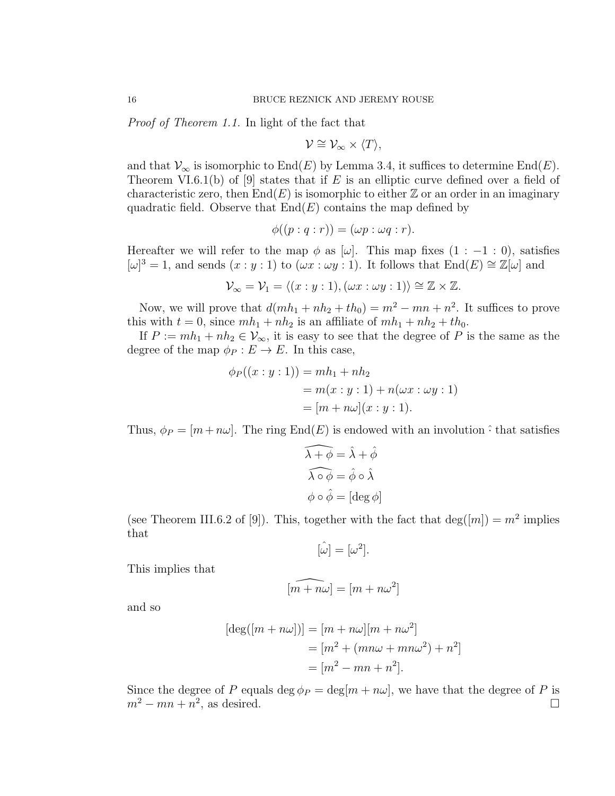Proof of Theorem 1.1. In light of the fact that

$$
\mathcal{V}\cong\mathcal{V}_{\infty}\times\langle T\rangle,
$$

and that  $\mathcal{V}_{\infty}$  is isomorphic to End(E) by Lemma 3.4, it suffices to determine End(E). Theorem VI.6.1(b) of [9] states that if E is an elliptic curve defined over a field of characteristic zero, then  $End(E)$  is isomorphic to either Z or an order in an imaginary quadratic field. Observe that  $End(E)$  contains the map defined by

$$
\phi((p:q:r)) = (\omega p: \omega q:r).
$$

Hereafter we will refer to the map  $\phi$  as [ $\omega$ ]. This map fixes (1 : −1 : 0), satisfies  $[\omega]^3 = 1$ , and sends  $(x : y : 1)$  to  $(\omega x : \omega y : 1)$ . It follows that  $\text{End}(E) \cong \mathbb{Z}[\omega]$  and

$$
\mathcal{V}_{\infty} = \mathcal{V}_1 = \langle (x:y:1), (\omega x:\omega y:1) \rangle \cong \mathbb{Z} \times \mathbb{Z}.
$$

Now, we will prove that  $d(mh_1 + nh_2 + th_0) = m^2 - mn + n^2$ . It suffices to prove this with  $t = 0$ , since  $mh_1 + nh_2$  is an affiliate of  $mh_1 + nh_2 + th_0$ .

If  $P := mh_1 + nh_2 \in V_\infty$ , it is easy to see that the degree of P is the same as the degree of the map  $\phi_P : E \to E$ . In this case,

$$
\phi_P((x:y:1)) = mh_1 + nh_2
$$
  
=  $m(x:y:1) + n(\omega x : \omega y:1)$   
=  $[m + n\omega](x:y:1).$ 

Thus,  $\phi_P = [m + n\omega]$ . The ring End(E) is endowed with an involution  $\hat{\cdot}$  that satisfies

$$
\widehat{\lambda + \phi} = \widehat{\lambda} + \widehat{\phi}
$$

$$
\widehat{\lambda \circ \phi} = \widehat{\phi} \circ \widehat{\lambda}
$$

$$
\phi \circ \widehat{\phi} = [\deg \phi]
$$

(see Theorem III.6.2 of [9]). This, together with the fact that  $deg([m]) = m^2$  implies that

$$
[\hat{\omega}] = [\omega^2].
$$

This implies that

$$
\widehat{[m+n\omega]} = [m+n\omega^2]
$$

and so

$$
[\deg([m+n\omega])] = [m+n\omega][m+n\omega^2]
$$
  
= 
$$
[m^2 + (mn\omega + mn\omega^2) + n^2]
$$
  
= 
$$
[m^2 - mn + n^2].
$$

Since the degree of P equals deg  $\phi_P = \deg[m + n\omega]$ , we have that the degree of P is  $m^2 - mn + n^2$ , as desired.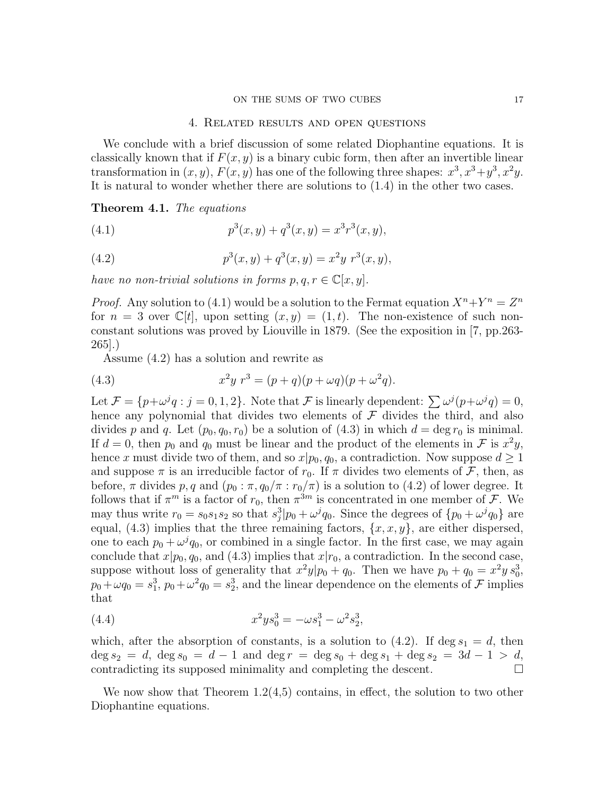#### ON THE SUMS OF TWO CUBES 17

## 4. Related results and open questions

We conclude with a brief discussion of some related Diophantine equations. It is classically known that if  $F(x, y)$  is a binary cubic form, then after an invertible linear transformation in  $(x, y)$ ,  $F(x, y)$  has one of the following three shapes:  $x^3, x^3+y^3, x^2y$ . It is natural to wonder whether there are solutions to (1.4) in the other two cases.

Theorem 4.1. The equations

(4.1) 
$$
p^{3}(x, y) + q^{3}(x, y) = x^{3}r^{3}(x, y),
$$

(4.2) 
$$
p^{3}(x, y) + q^{3}(x, y) = x^{2}y r^{3}(x, y),
$$

have no non-trivial solutions in forms  $p, q, r \in \mathbb{C}[x, y]$ .

*Proof.* Any solution to (4.1) would be a solution to the Fermat equation  $X^n + Y^n = Z^n$ for  $n = 3$  over  $\mathbb{C}[t]$ , upon setting  $(x, y) = (1, t)$ . The non-existence of such nonconstant solutions was proved by Liouville in 1879. (See the exposition in [7, pp.263- 265].)

Assume (4.2) has a solution and rewrite as

(4.3) 
$$
x^2y r^3 = (p+q)(p+\omega q)(p+\omega^2 q).
$$

Let  $\mathcal{F} = \{p + \omega^j q : j = 0, 1, 2\}$ . Note that  $\mathcal{F}$  is linearly dependent:  $\sum \omega^j (p + \omega^j q) = 0$ , hence any polynomial that divides two elements of  $\mathcal F$  divides the third, and also divides p and q. Let  $(p_0, q_0, r_0)$  be a solution of  $(4.3)$  in which  $d = \deg r_0$  is minimal. If  $d = 0$ , then  $p_0$  and  $q_0$  must be linear and the product of the elements in F is  $x^2y$ , hence x must divide two of them, and so  $x|p_0, q_0$ , a contradiction. Now suppose  $d \geq 1$ and suppose  $\pi$  is an irreducible factor of  $r_0$ . If  $\pi$  divides two elements of  $\mathcal{F}$ , then, as before,  $\pi$  divides p, q and  $(p_0 : \pi, q_0/\pi : r_0/\pi)$  is a solution to (4.2) of lower degree. It follows that if  $\pi^m$  is a factor of  $r_0$ , then  $\pi^{3m}$  is concentrated in one member of  $\mathcal{F}$ . We may thus write  $r_0 = s_0 s_1 s_2$  so that  $s_j^3 | p_0 + \omega^j q_0$ . Since the degrees of  $\{p_0 + \omega^j q_0\}$  are equal, (4.3) implies that the three remaining factors,  $\{x, x, y\}$ , are either dispersed, one to each  $p_0 + \omega^j q_0$ , or combined in a single factor. In the first case, we may again conclude that  $x|p_0, q_0$ , and (4.3) implies that  $x|r_0$ , a contradiction. In the second case, suppose without loss of generality that  $x^2y|p_0 + q_0$ . Then we have  $p_0 + q_0 = x^2y s_0^3$ ,  $p_0 + \omega q_0 = s_1^3$ ,  $p_0 + \omega^2 q_0 = s_2^3$ , and the linear dependence on the elements of  $\mathcal{F}$  implies that

(4.4) 
$$
x^2ys_0^3 = -\omega s_1^3 - \omega^2 s_2^3,
$$

which, after the absorption of constants, is a solution to  $(4.2)$ . If deg  $s_1 = d$ , then  $\deg s_2 = d$ ,  $\deg s_0 = d - 1$  and  $\deg r = \deg s_0 + \deg s_1 + \deg s_2 = 3d - 1 > d$ , contradicting its supposed minimality and completing the descent.  $\Box$ 

We now show that Theorem  $1.2(4.5)$  contains, in effect, the solution to two other Diophantine equations.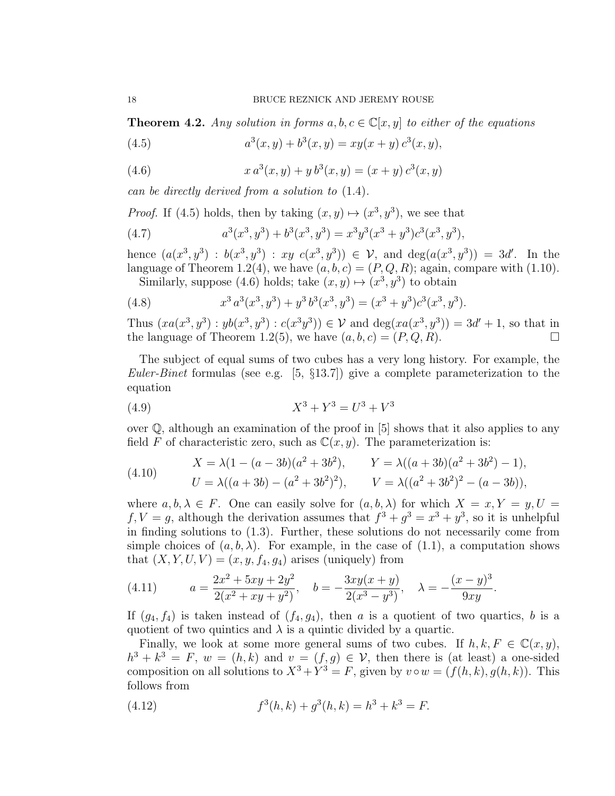**Theorem 4.2.** Any solution in forms  $a, b, c \in \mathbb{C}[x, y]$  to either of the equations

(4.5) 
$$
a^{3}(x, y) + b^{3}(x, y) = xy(x + y) c^{3}(x, y),
$$

(4.6) 
$$
x a^{3}(x, y) + y b^{3}(x, y) = (x + y) c^{3}(x, y)
$$

can be directly derived from a solution to (1.4).

*Proof.* If (4.5) holds, then by taking  $(x, y) \mapsto (x^3, y^3)$ , we see that

(4.7) 
$$
a^3(x^3, y^3) + b^3(x^3, y^3) = x^3y^3(x^3 + y^3)c^3(x^3, y^3),
$$

hence  $(a(x^3, y^3) : b(x^3, y^3) : xy \ c(x^3, y^3)) \in V$ , and  $deg(a(x^3, y^3)) = 3d'$ . In the language of Theorem 1.2(4), we have  $(a, b, c) = (P, Q, R)$ ; again, compare with (1.10). Similarly, suppose (4.6) holds; take  $(x, y) \mapsto (x^3, y^3)$  to obtain

(4.8) 
$$
x^3 a^3 (x^3, y^3) + y^3 b^3 (x^3, y^3) = (x^3 + y^3) c^3 (x^3, y^3).
$$

Thus  $(xa(x^3, y^3): yb(x^3, y^3): c(x^3y^3)) \in V$  and  $\deg(xa(x^3, y^3)) = 3d' + 1$ , so that in the language of Theorem 1.2(5), we have  $(a, b, c) = (P, Q, R)$ .

The subject of equal sums of two cubes has a very long history. For example, the Euler-Binet formulas (see e.g. [5,  $\S 13.7$ ]) give a complete parameterization to the equation

(4.9) 
$$
X^3 + Y^3 = U^3 + V^3
$$

over  $\mathbb{Q}$ , although an examination of the proof in [5] shows that it also applies to any field F of characteristic zero, such as  $\mathbb{C}(x, y)$ . The parameterization is:

(4.10) 
$$
X = \lambda (1 - (a - 3b)(a^2 + 3b^2), \qquad Y = \lambda ((a + 3b)(a^2 + 3b^2) - 1),
$$

$$
U = \lambda ((a + 3b) - (a^2 + 3b^2)^2), \qquad V = \lambda ((a^2 + 3b^2)^2 - (a - 3b)),
$$

where  $a, b, \lambda \in F$ . One can easily solve for  $(a, b, \lambda)$  for which  $X = x, Y = y, U =$  $f, V = g$ , although the derivation assumes that  $f^3 + g^3 = x^3 + y^3$ , so it is unhelpful in finding solutions to (1.3). Further, these solutions do not necessarily come from simple choices of  $(a, b, \lambda)$ . For example, in the case of  $(1.1)$ , a computation shows that  $(X, Y, U, V) = (x, y, f_4, g_4)$  arises (uniquely) from

(4.11) 
$$
a = \frac{2x^2 + 5xy + 2y^2}{2(x^2 + xy + y^2)}, \quad b = -\frac{3xy(x + y)}{2(x^3 - y^3)}, \quad \lambda = -\frac{(x - y)^3}{9xy}.
$$

If  $(g_4, f_4)$  is taken instead of  $(f_4, g_4)$ , then a is a quotient of two quartics, b is a quotient of two quintics and  $\lambda$  is a quintic divided by a quartic.

Finally, we look at some more general sums of two cubes. If  $h, k, F \in \mathbb{C}(x, y)$ ,  $h^3 + k^3 = F$ ,  $w = (h, k)$  and  $v = (f, g) \in V$ , then there is (at least) a one-sided composition on all solutions to  $X^3 + Y^3 = F$ , given by  $v \circ w = (f(h, k), g(h, k))$ . This follows from

(4.12) 
$$
f^{3}(h,k) + g^{3}(h,k) = h^{3} + k^{3} = F.
$$